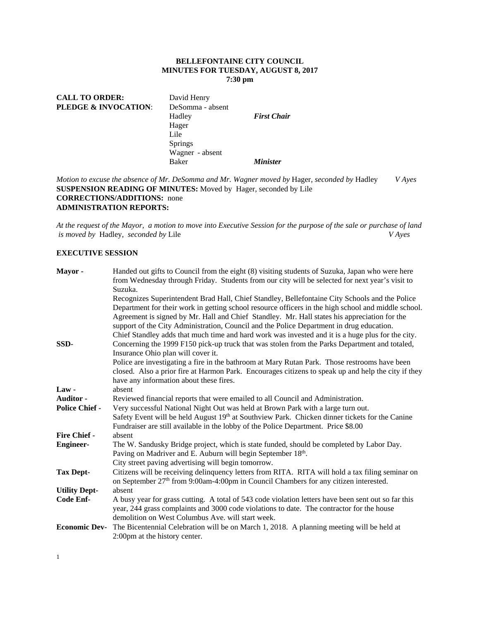## **BELLEFONTAINE CITY COUNCIL MINUTES FOR TUESDAY, AUGUST 8, 2017 7:30 pm**

| <b>CALL TO ORDER:</b><br><b>PLEDGE &amp; INVOCATION:</b> | David Henry<br>DeSomma - absent<br>Hadley<br>Hager<br>Lile<br><b>Springs</b> | <b>First Chair</b>     |
|----------------------------------------------------------|------------------------------------------------------------------------------|------------------------|
|                                                          | Wagner - absent<br><b>Baker</b>                                              | <i><b>Minister</b></i> |

*Motion to excuse the absence of Mr. DeSomma and Mr. Wagner moved by* Hager, *seconded by* Hadley *V Ayes*  **SUSPENSION READING OF MINUTES:** Moved by Hager, seconded by Lile **CORRECTIONS/ADDITIONS:** none **ADMINISTRATION REPORTS:** 

*At the request of the Mayor, a motion to move into Executive Session for the purpose of the sale or purchase of land*   $i$ *s moved by Hadley, seconded by Lile* 

#### **EXECUTIVE SESSION**

| Mayor -               | Handed out gifts to Council from the eight (8) visiting students of Suzuka, Japan who were here<br>from Wednesday through Friday. Students from our city will be selected for next year's visit to<br>Suzuka.                                                                                                                                                                                                                                                                                          |
|-----------------------|--------------------------------------------------------------------------------------------------------------------------------------------------------------------------------------------------------------------------------------------------------------------------------------------------------------------------------------------------------------------------------------------------------------------------------------------------------------------------------------------------------|
|                       | Recognizes Superintendent Brad Hall, Chief Standley, Bellefontaine City Schools and the Police<br>Department for their work in getting school resource officers in the high school and middle school.<br>Agreement is signed by Mr. Hall and Chief Standley. Mr. Hall states his appreciation for the<br>support of the City Administration, Council and the Police Department in drug education.<br>Chief Standley adds that much time and hard work was invested and it is a huge plus for the city. |
| SSD-                  | Concerning the 1999 F150 pick-up truck that was stolen from the Parks Department and totaled,<br>Insurance Ohio plan will cover it.                                                                                                                                                                                                                                                                                                                                                                    |
|                       | Police are investigating a fire in the bathroom at Mary Rutan Park. Those restrooms have been<br>closed. Also a prior fire at Harmon Park. Encourages citizens to speak up and help the city if they<br>have any information about these fires.                                                                                                                                                                                                                                                        |
| $Law -$               | absent                                                                                                                                                                                                                                                                                                                                                                                                                                                                                                 |
| Auditor -             | Reviewed financial reports that were emailed to all Council and Administration.                                                                                                                                                                                                                                                                                                                                                                                                                        |
| <b>Police Chief -</b> | Very successful National Night Out was held at Brown Park with a large turn out.<br>Safety Event will be held August 19 <sup>th</sup> at Southview Park. Chicken dinner tickets for the Canine<br>Fundraiser are still available in the lobby of the Police Department. Price \$8.00                                                                                                                                                                                                                   |
| <b>Fire Chief -</b>   | absent                                                                                                                                                                                                                                                                                                                                                                                                                                                                                                 |
| <b>Engineer-</b>      | The W. Sandusky Bridge project, which is state funded, should be completed by Labor Day.<br>Paving on Madriver and E. Auburn will begin September 18th.<br>City street paving advertising will begin tomorrow.                                                                                                                                                                                                                                                                                         |
| <b>Tax Dept-</b>      | Citizens will be receiving delinquency letters from RITA. RITA will hold a tax filing seminar on<br>on September 27 <sup>th</sup> from 9:00am-4:00pm in Council Chambers for any citizen interested.                                                                                                                                                                                                                                                                                                   |
| <b>Utility Dept-</b>  | absent                                                                                                                                                                                                                                                                                                                                                                                                                                                                                                 |
| <b>Code Enf-</b>      | A busy year for grass cutting. A total of 543 code violation letters have been sent out so far this<br>year, 244 grass complaints and 3000 code violations to date. The contractor for the house<br>demolition on West Columbus Ave. will start week.                                                                                                                                                                                                                                                  |
| <b>Economic Dev-</b>  | The Bicentennial Celebration will be on March 1, 2018. A planning meeting will be held at<br>2:00pm at the history center.                                                                                                                                                                                                                                                                                                                                                                             |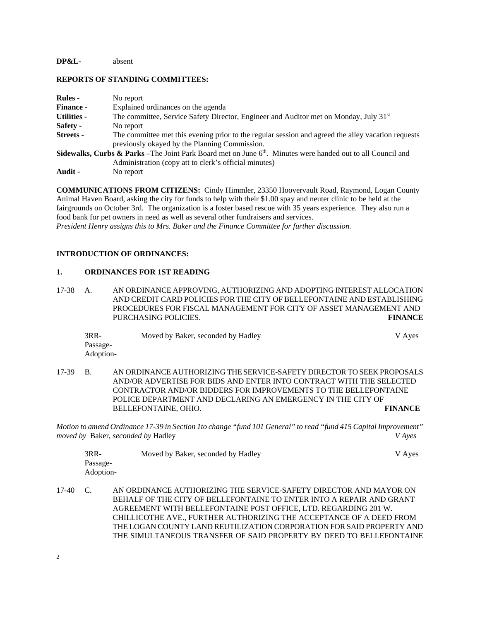## **DP&L-** absent

#### **REPORTS OF STANDING COMMITTEES:**

| <b>Rules</b> -     | No report                                                                                                                                                                                   |
|--------------------|---------------------------------------------------------------------------------------------------------------------------------------------------------------------------------------------|
| <b>Finance -</b>   | Explained ordinances on the agenda                                                                                                                                                          |
| <b>Utilities -</b> | The committee, Service Safety Director, Engineer and Auditor met on Monday, July 31 <sup>st</sup>                                                                                           |
| Safety -           | No report                                                                                                                                                                                   |
| Streets -          | The committee met this evening prior to the regular session and agreed the alley vacation requests<br>previously okayed by the Planning Commission.                                         |
|                    | <b>Sidewalks, Curbs &amp; Parks</b> –The Joint Park Board met on June 6 <sup>th</sup> . Minutes were handed out to all Council and<br>Administration (copy att to clerk's official minutes) |
| Audit -            | No report                                                                                                                                                                                   |

**COMMUNICATIONS FROM CITIZENS:** Cindy Himmler, 23350 Hoovervault Road, Raymond, Logan County Animal Haven Board, asking the city for funds to help with their \$1.00 spay and neuter clinic to be held at the fairgrounds on October 3rd. The organization is a foster based rescue with 35 years experience. They also run a food bank for pet owners in need as well as several other fundraisers and services. *President Henry assigns this to Mrs. Baker and the Finance Committee for further discussion.* 

#### **INTRODUCTION OF ORDINANCES:**

#### **1. ORDINANCES FOR 1ST READING**

17-38 A. AN ORDINANCE APPROVING, AUTHORIZING AND ADOPTING INTEREST ALLOCATION AND CREDIT CARD POLICIES FOR THE CITY OF BELLEFONTAINE AND ESTABLISHING PROCEDURES FOR FISCAL MANAGEMENT FOR CITY OF ASSET MANAGEMENT AND PURCHASING POLICIES. **FINANCE** 

| $3RR-$    | Moved by Baker, seconded by Hadley | V Ayes |
|-----------|------------------------------------|--------|
| Passage-  |                                    |        |
| Adoption- |                                    |        |

17-39 B. AN ORDINANCE AUTHORIZING THE SERVICE-SAFETY DIRECTOR TO SEEK PROPOSALS AND/OR ADVERTISE FOR BIDS AND ENTER INTO CONTRACT WITH THE SELECTED CONTRACTOR AND/OR BIDDERS FOR IMPROVEMENTS TO THE BELLEFONTAINE POLICE DEPARTMENT AND DECLARING AN EMERGENCY IN THE CITY OF BELLEFONTAINE, OHIO. **FINANCE** 

*Motion to amend Ordinance 17-39 in Section 1to change "fund 101 General" to read "fund 415 Capital Improvement" moved by* Baker*, seconded by* Hadley *V Ayes* 

| 3RR-      | Moved by Baker, seconded by Hadley | V Ayes |
|-----------|------------------------------------|--------|
| Passage-  |                                    |        |
| Adoption- |                                    |        |

17-40 C. AN ORDINANCE AUTHORIZING THE SERVICE-SAFETY DIRECTOR AND MAYOR ON BEHALF OF THE CITY OF BELLEFONTAINE TO ENTER INTO A REPAIR AND GRANT AGREEMENT WITH BELLEFONTAINE POST OFFICE, LTD. REGARDING 201 W. CHILLICOTHE AVE., FURTHER AUTHORIZING THE ACCEPTANCE OF A DEED FROM THE LOGAN COUNTY LAND REUTILIZATION CORPORATION FOR SAID PROPERTY AND THE SIMULTANEOUS TRANSFER OF SAID PROPERTY BY DEED TO BELLEFONTAINE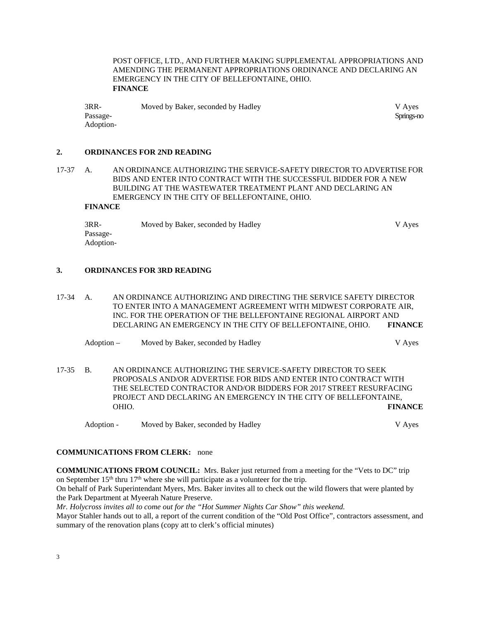POST OFFICE, LTD., AND FURTHER MAKING SUPPLEMENTAL APPROPRIATIONS AND AMENDING THE PERMANENT APPROPRIATIONS ORDINANCE AND DECLARING AN EMERGENCY IN THE CITY OF BELLEFONTAINE, OHIO. **FINANCE** 

3RR- Moved by Baker, seconded by Hadley V Ayes Passage- Springs-no Springs-no Springs-no Springs-no Springs-no Springs-no Springs-no Springs-no Springs-no Sp Adoption-

**2. ORDINANCES FOR 2ND READING**

17-37 A. AN ORDINANCE AUTHORIZING THE SERVICE-SAFETY DIRECTOR TO ADVERTISE FOR BIDS AND ENTER INTO CONTRACT WITH THE SUCCESSFUL BIDDER FOR A NEW BUILDING AT THE WASTEWATER TREATMENT PLANT AND DECLARING AN EMERGENCY IN THE CITY OF BELLEFONTAINE, OHIO.

# **FINANCE**

| $3RR-$    | Moved by Baker, seconded by Hadley | V Aves |
|-----------|------------------------------------|--------|
| Passage-  |                                    |        |
| Adoption- |                                    |        |

#### **3. ORDINANCES FOR 3RD READING**

17-34 A. AN ORDINANCE AUTHORIZING AND DIRECTING THE SERVICE SAFETY DIRECTOR TO ENTER INTO A MANAGEMENT AGREEMENT WITH MIDWEST CORPORATE AIR, INC. FOR THE OPERATION OF THE BELLEFONTAINE REGIONAL AIRPORT AND DECLARING AN EMERGENCY IN THE CITY OF BELLEFONTAINE, OHIO. **FINANCE** 

Adoption – Moved by Baker, seconded by Hadley V Ayes

17-35 B. AN ORDINANCE AUTHORIZING THE SERVICE-SAFETY DIRECTOR TO SEEK PROPOSALS AND/OR ADVERTISE FOR BIDS AND ENTER INTO CONTRACT WITH THE SELECTED CONTRACTOR AND/OR BIDDERS FOR 2017 STREET RESURFACING PROJECT AND DECLARING AN EMERGENCY IN THE CITY OF BELLEFONTAINE, OHIO. **FINANCE**

Adoption - Moved by Baker, seconded by Hadley V Ayes

## **COMMUNICATIONS FROM CLERK:** none

**COMMUNICATIONS FROM COUNCIL:** Mrs. Baker just returned from a meeting for the "Vets to DC" trip on September  $15<sup>th</sup>$  thru  $17<sup>th</sup>$  where she will participate as a volunteer for the trip. On behalf of Park Superintendant Myers, Mrs. Baker invites all to check out the wild flowers that were planted by

the Park Department at Myeerah Nature Preserve.

*Mr. Holycross invites all to come out for the "Hot Summer Nights Car Show" this weekend.*  Mayor Stahler hands out to all, a report of the current condition of the "Old Post Office", contractors assessment, and summary of the renovation plans (copy att to clerk's official minutes)